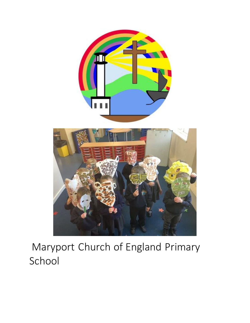



# Maryport Church of England Primary School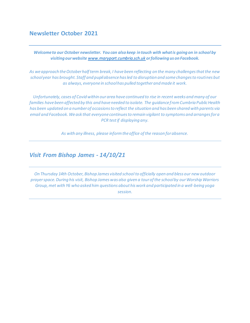### **Newsletter October 2021**

*Welcome to our October newsletter. You can also keep in touch with what is going on in school by visiting our website [www.maryport.cumbria.sch.uk](https://www.maryport.cumbria.sch.uk/) or following us on Facebook.*

*As we approach the October half term break, I have been reflecting on the many challenges that the new school year has brought. Staff and pupil absence has led to disruption and some changes to routines but as always, everyone in school has pulled together and made it work.* 

*Unfortunately, cases of Covid within our area have continued to rise in recent weeks and many of our families have been affected by this and have needed to isolate. The guidance from Cumbria Public Health has been updated on a number of occasions to reflect the situation and has been shared with parents via email and Facebook. We ask that everyone continues to remain vigilant to symptoms and arranges for a PCR test if displaying any.*

*As with any illness, please inform the office of the reason for absence.*

#### *Visit From Bishop James - 14/10/21*

*On Thursday 14th October, Bishop James visited school to officially open and bless our new outdoor prayer space. During his visit, Bishop James was also given a tour of the school by our Worship Warriors Group, met with Y6 who asked him questions about his work and participated in a well-being yoga session.*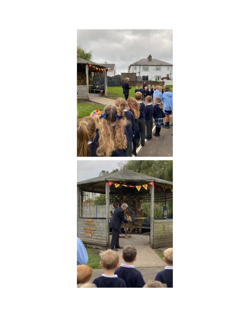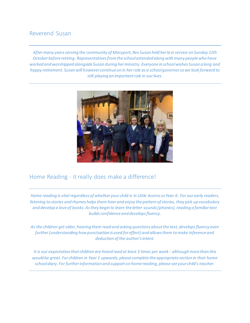## Reverend Susan

*After many years serving the community of Maryport, Rev Susan held her last service on Sunday 11th October before retiring. Representatives from the school attended along with many people who have worked and worshipped alongside Susan during her ministry. Everyone in school wishes Susan a long and happy retirement. Susan will however continue on in her role as a school governor so we look forward to still playing an important role in our lives.* 



## Home Reading - it really does make a difference!

*Home reading is vital regardless of whether your child is in Little Acorns or Year 6. For our early readers, listening to stories and rhymes helps them hear and enjoy the pattern of stories, they pick up vocabulary and develop a love of books. As they begin to learn the letter sounds (phonics), reading a familiar text builds confidence and develops fluency.* 

*As the children get older, hearing them read and asking questions about the text, develops fluency even further (understanding how punctuation is used for effect) and allows them to make inference and deduction of the author's intent.*

*It is our expectation that children are heard read at least 3 times per week - although more than this would be great. For children in Year 1 upwards, please complete the appropriate section in their home school diary. For further information and support on home reading, please see your child's teacher.*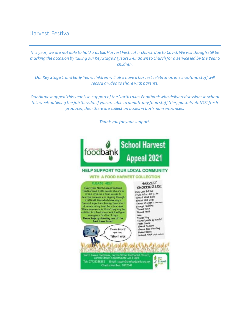#### Harvest Festival

*This year, we are not able to hold a public Harvest Festival in church due to Covid. We will though still be marking the occasion by taking our Key Stage 2 (years 3-6) down to church for a service led by the Year 5 children.* 

*Our Key Stage 1 and Early Years children will also have a harvest celebration in school and staff will record a video to share with parents.*

*Our Harvest appeal this year is in support of the North Lakes Foodbank who delivered sessions in school this week outlining the job they do. If you are able to donate any food stuff (tins, packets etc NOT fresh produce), then there are collection boxes in both main entrances.*

*Thank you for your support.*

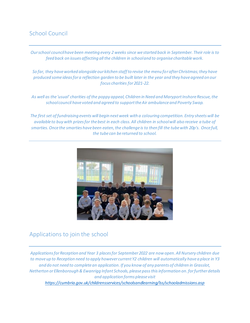# School Council

*Our school council have been meeting every 2 weeks since we started back in September. Their role is to feed back on issues affecting all the children in school and to organise charitable work.* 

*So far, they have worked alongside our kitchen staff to revise the menu for after Christmas; they have produced some ideas for a reflection garden to be built later in the year and they have agreed on our focus charities for 2021-22.* 

*As well as the 'usual' charities of the poppy appeal, Children in Need and Maryport Inshore Rescue, the school council have voted and agreed to support the Air ambulance and Poverty Swap.* 

*The first set of fundraising events will begin next week with a colouring competition. Entry sheets will be available to buy with prizes for the best in each class. All children in school will also receive a tube of smarties. Once the smarties have been eaten, the challenge is to then fill the tube with 20p's. Once full, the tube can be returned to school.*



## Applications to join the school

*Applications for Reception and Year 3 places for September 2022 are now open. All Nursery children due to move up to Reception need to apply however current Y2 children will automatically have a place in Y3 and do not need to complete an application. If you know of any parents of children in Grasslot, Netherton or Ellenborough & Ewanrigg Infant Schools, please pass this information on. for further details and application forms please visit* 

*<https://cumbria.gov.uk/childrensservices/schoolsandlearning/lss/schooladmissions.asp>*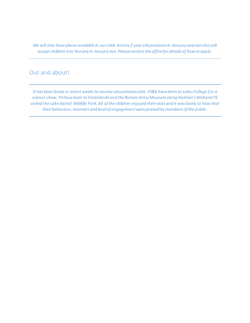*We will also have places available in our Little Acorns 2 year old provision in January and can also still accept children into Nursery in January too. Please contact the office for details of how to apply.*

## Out and about!

*It has been lovely in recent weeks to resume educational visits. Y5&6 have been to Lakes College for a science show, Y4 have been to Vindolanda and the Roman Army Museum along Hadrian's Wall and Y5 visited the Lake district Wildlife Park. All of the children enjoyed their visits and it was lovely to hear that their behaviour, manners and level of engagement were praised by members of the public.*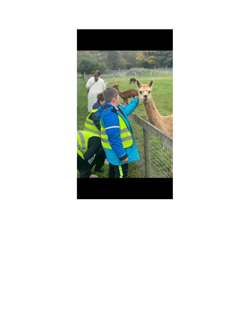